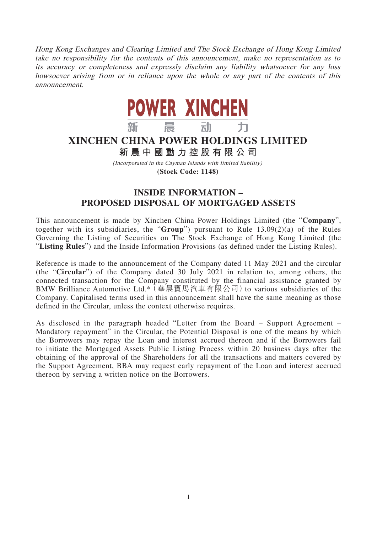Hong Kong Exchanges and Clearing Limited and The Stock Exchange of Hong Kong Limited take no responsibility for the contents of this announcement, make no representation as to its accuracy or completeness and expressly disclaim any liability whatsoever for any loss howsoever arising from or in reliance upon the whole or any part of the contents of this announcement.



## **XINCHEN CHINA POWER HOLDINGS LIMITED**

**新晨中國動力控股有限公 司**

(Incorporated in the Cayman Islands with limited liability) **(Stock Code: 1148)**

## **INSIDE INFORMATION – PROPOSED DISPOSAL OF MORTGAGED ASSETS**

This announcement is made by Xinchen China Power Holdings Limited (the "**Company**", together with its subsidiaries, the "**Group**") pursuant to Rule 13.09(2)(a) of the Rules Governing the Listing of Securities on The Stock Exchange of Hong Kong Limited (the "**Listing Rules**") and the Inside Information Provisions (as defined under the Listing Rules).

Reference is made to the announcement of the Company dated 11 May 2021 and the circular (the "**Circular**") of the Company dated 30 July 2021 in relation to, among others, the connected transaction for the Company constituted by the financial assistance granted by BMW Brilliance Automotive Ltd.\* (華晨寶馬汽車有限公司) to various subsidiaries of the Company. Capitalised terms used in this announcement shall have the same meaning as those defined in the Circular, unless the context otherwise requires.

As disclosed in the paragraph headed "Letter from the Board – Support Agreement – Mandatory repayment" in the Circular, the Potential Disposal is one of the means by which the Borrowers may repay the Loan and interest accrued thereon and if the Borrowers fail to initiate the Mortgaged Assets Public Listing Process within 20 business days after the obtaining of the approval of the Shareholders for all the transactions and matters covered by the Support Agreement, BBA may request early repayment of the Loan and interest accrued thereon by serving a written notice on the Borrowers.